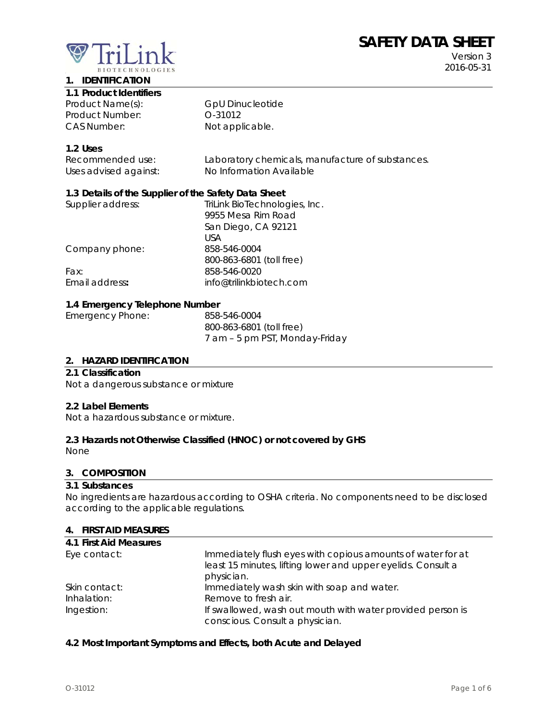# **SAFETY DATA SHEET**

Version 3 2016-05-31



#### **1. IDENTIFICATION**

**1.1 Product Identifiers** 

Product Name(s): GpU Dinucleotide Product Number: 0-31012 CAS Number: Not applicable.

# **1.2 Uses**

| Recommended use:      | Laboratory chemicals, manufacture of substances. |
|-----------------------|--------------------------------------------------|
| Uses advised against: | No Information Available                         |

#### **1.3 Details of the Supplier of the Safety Data Sheet**

| Supplier address: | TriLink BioTechnologies, Inc. |
|-------------------|-------------------------------|
|                   | 9955 Mesa Rim Road            |
|                   | San Diego, CA 92121           |
|                   | USA                           |
| Company phone:    | 858-546-0004                  |
|                   | 800-863-6801 (toll free)      |
| Fax:              | 858-546-0020                  |
| Email address:    | info@trilinkbiotech.com       |
|                   |                               |

# **1.4 Emergency Telephone Number**

| <b>Emergency Phone:</b> | 858-546-0004                   |
|-------------------------|--------------------------------|
|                         | 800-863-6801 (toll free)       |
|                         | 7 am - 5 pm PST, Monday-Friday |

#### **2. HAZARD IDENTIFICATION**

#### **2.1 Classification**

Not a dangerous substance or mixture

#### **2.2 Label Elements**

Not a hazardous substance or mixture.

# **2.3 Hazards not Otherwise Classified (HNOC) or not covered by GHS**

None

# **3. COMPOSITION**

#### **3.1 Substances**

No ingredients are hazardous according to OSHA criteria. No components need to be disclosed according to the applicable regulations.

#### **4. FIRST AID MEASURES**

| 4.1 First Aid Measures |                                                              |
|------------------------|--------------------------------------------------------------|
| Eye contact:           | Immediately flush eyes with copious amounts of water for at  |
|                        | least 15 minutes, lifting lower and upper eyelids. Consult a |
|                        | physician.                                                   |
| Skin contact:          | Immediately wash skin with soap and water.                   |
| Inhalation:            | Remove to fresh air.                                         |
| Ingestion:             | If swallowed, wash out mouth with water provided person is   |
|                        | conscious. Consult a physician.                              |

#### **4.2 Most Important Symptoms and Effects, both Acute and Delayed**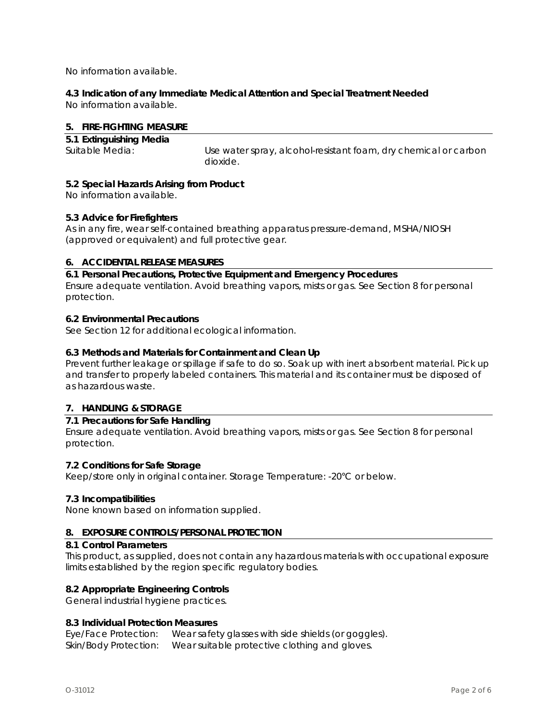No information available.

# **4.3 Indication of any Immediate Medical Attention and Special Treatment Needed**

No information available.

# **5. FIRE-FIGHTING MEASURE**

**5.1 Extinguishing Media** 

Suitable Media: Use water spray, alcohol-resistant foam, dry chemical or carbon dioxide.

# **5.2 Special Hazards Arising from Product**

No information available.

# **5.3 Advice for Firefighters**

As in any fire, wear self-contained breathing apparatus pressure-demand, MSHA/NIOSH (approved or equivalent) and full protective gear.

# **6. ACCIDENTAL RELEASE MEASURES**

**6.1 Personal Precautions, Protective Equipment and Emergency Procedures**  Ensure adequate ventilation. Avoid breathing vapors, mists or gas. See Section 8 for personal protection.

# **6.2 Environmental Precautions**

See Section 12 for additional ecological information.

# **6.3 Methods and Materials for Containment and Clean Up**

Prevent further leakage or spillage if safe to do so. Soak up with inert absorbent material. Pick up and transfer to properly labeled containers. This material and its container must be disposed of as hazardous waste.

# **7. HANDLING & STORAGE**

# **7.1 Precautions for Safe Handling**

Ensure adequate ventilation. Avoid breathing vapors, mists or gas. See Section 8 for personal protection.

# **7.2 Conditions for Safe Storage**

Keep/store only in original container. Storage Temperature: -20°C or below.

# **7.3 Incompatibilities**

None known based on information supplied.

# **8. EXPOSURE CONTROLS/PERSONAL PROTECTION**

#### **8.1 Control Parameters**

This product, as supplied, does not contain any hazardous materials with occupational exposure limits established by the region specific regulatory bodies.

# **8.2 Appropriate Engineering Controls**

General industrial hygiene practices.

# **8.3 Individual Protection Measures**

Eye/Face Protection: Wear safety glasses with side shields (or goggles). Skin/Body Protection: Wear suitable protective clothing and gloves.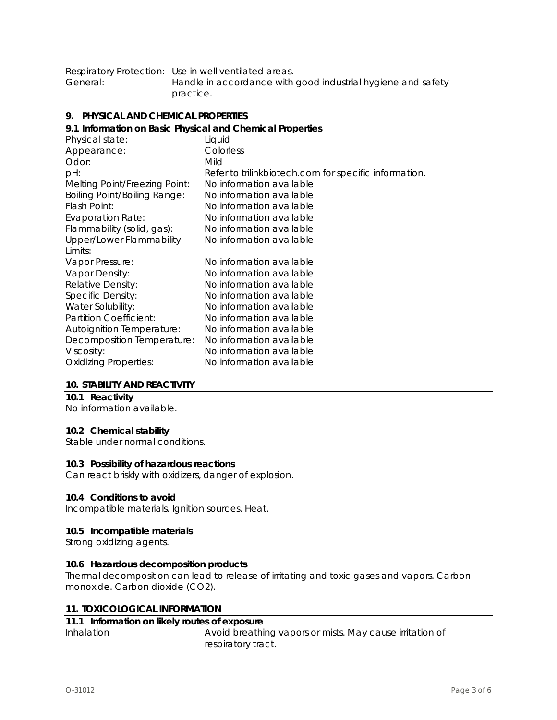|          | Respiratory Protection: Use in well ventilated areas.        |
|----------|--------------------------------------------------------------|
| General: | Handle in accordance with good industrial hygiene and safety |
|          | practice.                                                    |

#### **9. PHYSICAL AND CHEMICAL PROPERTIES**

| 9.1 Information on Basic Physical and Chemical Properties |
|-----------------------------------------------------------|
| Liquid                                                    |
| Colorless                                                 |
| Mild                                                      |
| Refer to trilinkbiotech.com for specific information.     |
| No information available                                  |
| No information available                                  |
| No information available                                  |
| No information available                                  |
| No information available                                  |
| No information available                                  |
|                                                           |
| No information available                                  |
| No information available                                  |
| No information available                                  |
| No information available                                  |
| No information available                                  |
| No information available                                  |
| No information available                                  |
| No information available                                  |
| No information available                                  |
| No information available                                  |
|                                                           |

# **10. STABILITY AND REACTIVITY**

# **10.1 Reactivity**

No information available.

#### **10.2 Chemical stability**

Stable under normal conditions.

#### **10.3 Possibility of hazardous reactions**

Can react briskly with oxidizers, danger of explosion.

# **10.4 Conditions to avoid**

Incompatible materials. Ignition sources. Heat.

#### **10.5 Incompatible materials**

Strong oxidizing agents.

# **10.6 Hazardous decomposition products**

Thermal decomposition can lead to release of irritating and toxic gases and vapors. Carbon monoxide. Carbon dioxide (CO2).

#### **11. TOXICOLOGICAL INFORMATION**

# **11.1 Information on likely routes of exposure**

Inhalation **Avoid breathing vapors or mists. May cause irritation of** respiratory tract.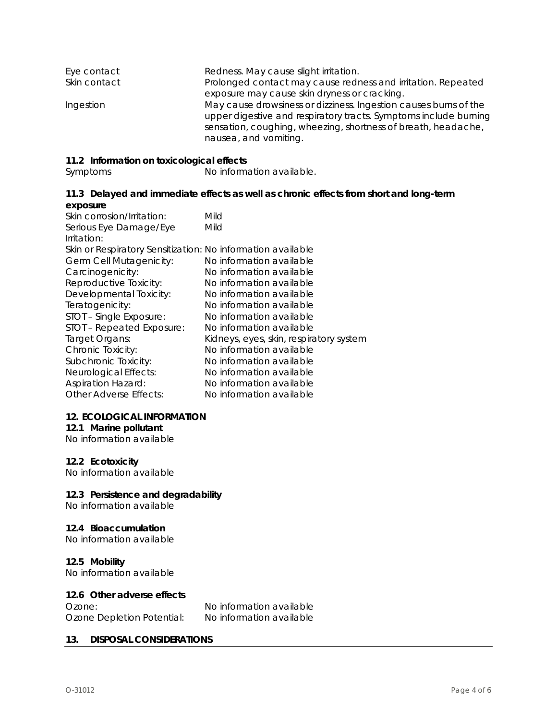| Eye contact  | Redness. May cause slight irritation.                                                                                                |
|--------------|--------------------------------------------------------------------------------------------------------------------------------------|
| Skin contact | Prolonged contact may cause redness and irritation. Repeated                                                                         |
|              | exposure may cause skin dryness or cracking.                                                                                         |
| Ingestion    | May cause drowsiness or dizziness. Ingestion causes burns of the<br>upper digestive and respiratory tracts. Symptoms include burning |
|              | sensation, coughing, wheezing, shortness of breath, headache,<br>nausea, and vomiting.                                               |

#### **11.2 Information on toxicological effects**

Symptoms No information available.

#### **11.3 Delayed and immediate effects as well as chronic effects from short and long-term exposure**

| Skin corrosion/Irritation:                                  | Mild                                    |
|-------------------------------------------------------------|-----------------------------------------|
| Serious Eye Damage/Eye                                      | Mild                                    |
| Irritation:                                                 |                                         |
| Skin or Respiratory Sensitization: No information available |                                         |
| Germ Cell Mutagenicity:                                     | No information available                |
| Carcinogenicity:                                            | No information available                |
| Reproductive Toxicity:                                      | No information available                |
| Developmental Toxicity:                                     | No information available                |
| Teratogenicity:                                             | No information available                |
| STOT - Single Exposure:                                     | No information available                |
| STOT - Repeated Exposure:                                   | No information available                |
| Target Organs:                                              | Kidneys, eyes, skin, respiratory system |
| Chronic Toxicity:                                           | No information available                |
| Subchronic Toxicity:                                        | No information available                |
| Neurological Effects:                                       | No information available                |
| <b>Aspiration Hazard:</b>                                   | No information available                |
| <b>Other Adverse Effects:</b>                               | No information available                |

# **12. ECOLOGICAL INFORMATION**

#### **12.1 Marine pollutant**

No information available

# **12.2 Ecotoxicity**

No information available

# **12.3 Persistence and degradability**

No information available

#### **12.4 Bioaccumulation**

No information available

# **12.5 Mobility**

No information available

# **12.6 Other adverse effects**

| Ozone:                     | No information available |
|----------------------------|--------------------------|
| Ozone Depletion Potential: | No information available |

# **13. DISPOSAL CONSIDERATIONS**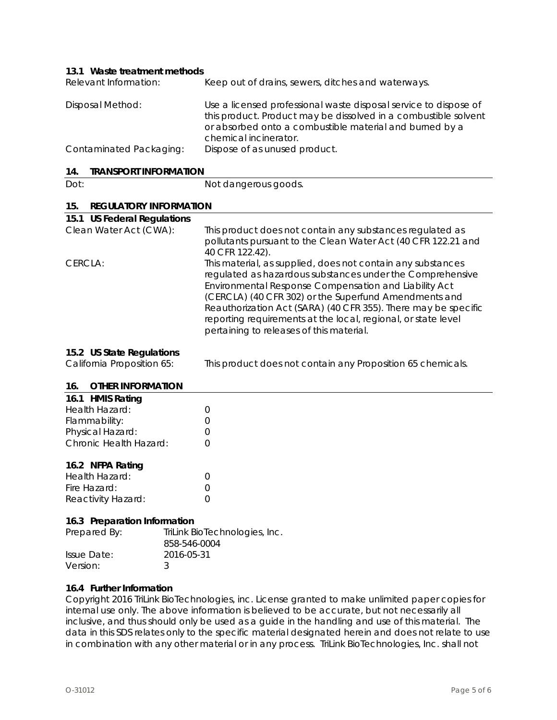#### **13.1 Waste treatment methods**

| Relevant Information:   | Keep out of drains, sewers, ditches and waterways.                                                                                                                                                                      |
|-------------------------|-------------------------------------------------------------------------------------------------------------------------------------------------------------------------------------------------------------------------|
| Disposal Method:        | Use a licensed professional waste disposal service to dispose of<br>this product. Product may be dissolved in a combustible solvent<br>or absorbed onto a combustible material and burned by a<br>chemical incinerator. |
| Contaminated Packaging: | Dispose of as unused product.                                                                                                                                                                                           |

# **14. TRANSPORT INFORMATION**

| - 14.<br><b>IRANSPURI INFURNIATION</b> |                                                                                                                                                                                                                                                                                                                                                                                                                           |
|----------------------------------------|---------------------------------------------------------------------------------------------------------------------------------------------------------------------------------------------------------------------------------------------------------------------------------------------------------------------------------------------------------------------------------------------------------------------------|
| Dot:                                   | Not dangerous goods.                                                                                                                                                                                                                                                                                                                                                                                                      |
| 15.<br><b>REGULATORY INFORMATION</b>   |                                                                                                                                                                                                                                                                                                                                                                                                                           |
| 15.1 US Federal Regulations            |                                                                                                                                                                                                                                                                                                                                                                                                                           |
| Clean Water Act (CWA):                 | This product does not contain any substances regulated as<br>pollutants pursuant to the Clean Water Act (40 CFR 122.21 and<br>40 CFR 122.42).                                                                                                                                                                                                                                                                             |
| CERCLA:                                | This material, as supplied, does not contain any substances<br>regulated as hazardous substances under the Comprehensive<br>Environmental Response Compensation and Liability Act<br>(CERCLA) (40 CFR 302) or the Superfund Amendments and<br>Reauthorization Act (SARA) (40 CFR 355). There may be specific<br>reporting requirements at the local, regional, or state level<br>pertaining to releases of this material. |

#### **15.2 US State Regulations**

California Proposition 65: This product does not contain any Proposition 65 chemicals.

#### **16. OTHER INFORMATION**

| 16.1 HMIS Rating       |   |  |  |
|------------------------|---|--|--|
| Health Hazard:         |   |  |  |
| Flammability:          |   |  |  |
| Physical Hazard:       | 0 |  |  |
| Chronic Health Hazard: | 0 |  |  |
| 16.2 NFPA Rating       |   |  |  |
| Health Hazard:         |   |  |  |
| Fire Hazard:           | 0 |  |  |
| Reactivity Hazard:     | 0 |  |  |

# **16.3 Preparation Information**

| Prepared By: | TriLink BioTechnologies, Inc. |
|--------------|-------------------------------|
|              | 858-546-0004                  |
| Issue Date:  | 2016-05-31                    |
| Version:     | २                             |
|              |                               |

#### **16.4 Further Information**

Copyright 2016 TriLink BioTechnologies, inc. License granted to make unlimited paper copies for internal use only. The above information is believed to be accurate, but not necessarily all inclusive, and thus should only be used as a guide in the handling and use of this material. The data in this SDS relates only to the specific material designated herein and does not relate to use in combination with any other material or in any process. TriLink BioTechnologies, Inc. shall not